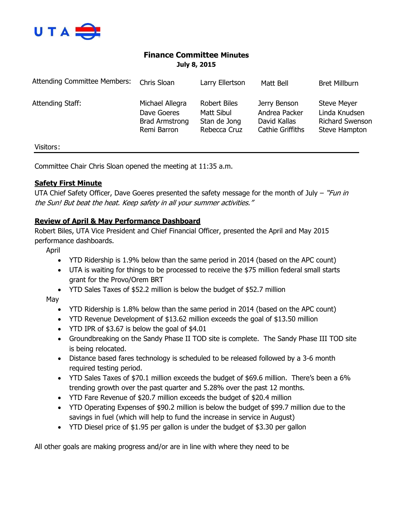

# **Finance Committee Minutes July 8, 2015**

| <b>Attending Committee Members:</b> | Chris Sloan                                                     | Larry Ellertson                                                   | Matt Bell                                                                | <b>Bret Millburn</b>                                                           |
|-------------------------------------|-----------------------------------------------------------------|-------------------------------------------------------------------|--------------------------------------------------------------------------|--------------------------------------------------------------------------------|
| Attending Staff:                    | Michael Allegra<br>Dave Goeres<br>Brad Armstrong<br>Remi Barron | <b>Robert Biles</b><br>Matt Sibul<br>Stan de Jong<br>Rebecca Cruz | Jerry Benson<br>Andrea Packer<br>David Kallas<br><b>Cathie Griffiths</b> | <b>Steve Meyer</b><br>Linda Knudsen<br><b>Richard Swenson</b><br>Steve Hampton |
| Visitors:                           |                                                                 |                                                                   |                                                                          |                                                                                |

Committee Chair Chris Sloan opened the meeting at 11:35 a.m.

## **Safety First Minute**

UTA Chief Safety Officer, Dave Goeres presented the safety message for the month of July – "Fun in the Sun! But beat the heat. Keep safety in all your summer activities."

#### **Review of April & May Performance Dashboard**

Robert Biles, UTA Vice President and Chief Financial Officer, presented the April and May 2015 performance dashboards.

April

- YTD Ridership is 1.9% below than the same period in 2014 (based on the APC count)
- UTA is waiting for things to be processed to receive the \$75 million federal small starts grant for the Provo/Orem BRT
- YTD Sales Taxes of \$52.2 million is below the budget of \$52.7 million

May

- YTD Ridership is 1.8% below than the same period in 2014 (based on the APC count)
- YTD Revenue Development of \$13.62 million exceeds the goal of \$13.50 million
- YTD IPR of \$3.67 is below the goal of \$4.01
- Groundbreaking on the Sandy Phase II TOD site is complete. The Sandy Phase III TOD site is being relocated.
- Distance based fares technology is scheduled to be released followed by a 3-6 month required testing period.
- YTD Sales Taxes of \$70.1 million exceeds the budget of \$69.6 million. There's been a 6% trending growth over the past quarter and 5.28% over the past 12 months.
- YTD Fare Revenue of \$20.7 million exceeds the budget of \$20.4 million
- YTD Operating Expenses of \$90.2 million is below the budget of \$99.7 million due to the savings in fuel (which will help to fund the increase in service in August)
- YTD Diesel price of \$1.95 per gallon is under the budget of \$3.30 per gallon

All other goals are making progress and/or are in line with where they need to be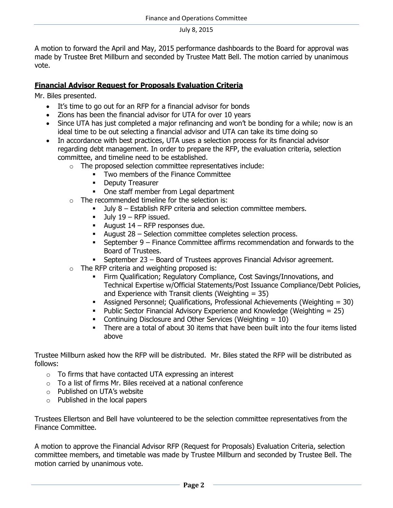A motion to forward the April and May, 2015 performance dashboards to the Board for approval was made by Trustee Bret Millburn and seconded by Trustee Matt Bell. The motion carried by unanimous vote.

#### **Financial Advisor Request for Proposals Evaluation Criteria**

Mr. Biles presented.

- It's time to go out for an RFP for a financial advisor for bonds
- Zions has been the financial advisor for UTA for over 10 years
- Since UTA has just completed a major refinancing and won't be bonding for a while; now is an ideal time to be out selecting a financial advisor and UTA can take its time doing so
- In accordance with best practices, UTA uses a selection process for its financial advisor regarding debt management. In order to prepare the RFP, the evaluation criteria, selection committee, and timeline need to be established.
	- o The proposed selection committee representatives include:
		- Two members of the Finance Committee
		- **-** Deputy Treasurer
		- One staff member from Legal department
	- o The recommended timeline for the selection is:
		- July 8 Establish RFP criteria and selection committee members.
		- $-$  July 19 RFP issued.
		- August  $14$  RFP responses due.
		- August 28 Selection committee completes selection process.
		- September 9 Finance Committee affirms recommendation and forwards to the Board of Trustees.
		- September 23 Board of Trustees approves Financial Advisor agreement.
	- o The RFP criteria and weighting proposed is:
		- Firm Qualification; Regulatory Compliance, Cost Savings/Innovations, and Technical Expertise w/Official Statements/Post Issuance Compliance/Debt Policies, and Experience with Transit clients (Weighting  $= 35$ )
		- Assigned Personnel; Qualifications, Professional Achievements (Weighting = 30)
		- **Public Sector Financial Advisory Experience and Knowledge (Weighting**  $= 25$ **)**
		- Continuing Disclosure and Other Services (Weighting  $= 10$ )
		- There are a total of about 30 items that have been built into the four items listed above

Trustee Millburn asked how the RFP will be distributed. Mr. Biles stated the RFP will be distributed as follows:

- o To firms that have contacted UTA expressing an interest
- $\circ$  To a list of firms Mr. Biles received at a national conference
- o Published on UTA's website
- o Published in the local papers

Trustees Ellertson and Bell have volunteered to be the selection committee representatives from the Finance Committee.

A motion to approve the Financial Advisor RFP (Request for Proposals) Evaluation Criteria, selection committee members, and timetable was made by Trustee Millburn and seconded by Trustee Bell. The motion carried by unanimous vote.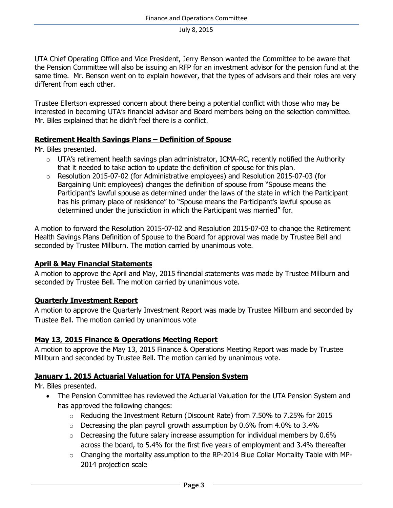UTA Chief Operating Office and Vice President, Jerry Benson wanted the Committee to be aware that the Pension Committee will also be issuing an RFP for an investment advisor for the pension fund at the same time. Mr. Benson went on to explain however, that the types of advisors and their roles are very different from each other.

Trustee Ellertson expressed concern about there being a potential conflict with those who may be interested in becoming UTA's financial advisor and Board members being on the selection committee. Mr. Biles explained that he didn't feel there is a conflict.

#### **Retirement Health Savings Plans – Definition of Spouse**

Mr. Biles presented.

- $\circ$  UTA's retirement health savings plan administrator, ICMA-RC, recently notified the Authority that it needed to take action to update the definition of spouse for this plan.
- o Resolution 2015-07-02 (for Administrative employees) and Resolution 2015-07-03 (for Bargaining Unit employees) changes the definition of spouse from "Spouse means the Participant's lawful spouse as determined under the laws of the state in which the Participant has his primary place of residence" to "Spouse means the Participant's lawful spouse as determined under the jurisdiction in which the Participant was married" for.

A motion to forward the Resolution 2015-07-02 and Resolution 2015-07-03 to change the Retirement Health Savings Plans Definition of Spouse to the Board for approval was made by Trustee Bell and seconded by Trustee Millburn. The motion carried by unanimous vote.

## **April & May Financial Statements**

A motion to approve the April and May, 2015 financial statements was made by Trustee Millburn and seconded by Trustee Bell. The motion carried by unanimous vote.

## **Quarterly Investment Report**

A motion to approve the Quarterly Investment Report was made by Trustee Millburn and seconded by Trustee Bell. The motion carried by unanimous vote

## **May 13, 2015 Finance & Operations Meeting Report**

A motion to approve the May 13, 2015 Finance & Operations Meeting Report was made by Trustee Millburn and seconded by Trustee Bell. The motion carried by unanimous vote.

## **January 1, 2015 Actuarial Valuation for UTA Pension System**

Mr. Biles presented.

- The Pension Committee has reviewed the Actuarial Valuation for the UTA Pension System and has approved the following changes:
	- $\circ$  Reducing the Investment Return (Discount Rate) from 7.50% to 7.25% for 2015
	- $\circ$  Decreasing the plan payroll growth assumption by 0.6% from 4.0% to 3.4%
	- $\circ$  Decreasing the future salary increase assumption for individual members by 0.6% across the board, to 5.4% for the first five years of employment and 3.4% thereafter
	- o Changing the mortality assumption to the RP-2014 Blue Collar Mortality Table with MP-2014 projection scale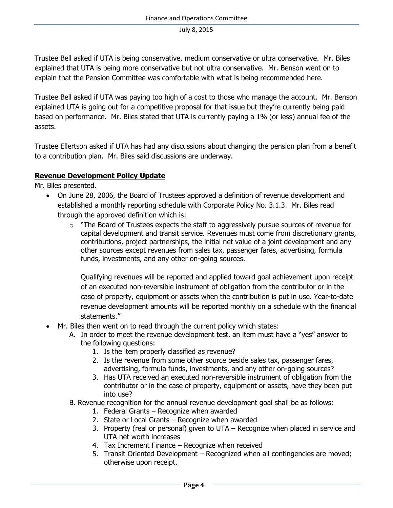Trustee Bell asked if UTA is being conservative, medium conservative or ultra conservative. Mr. Biles explained that UTA is being more conservative but not ultra conservative. Mr. Benson went on to explain that the Pension Committee was comfortable with what is being recommended here.

Trustee Bell asked if UTA was paying too high of a cost to those who manage the account. Mr. Benson explained UTA is going out for a competitive proposal for that issue but they're currently being paid based on performance. Mr. Biles stated that UTA is currently paying a 1% (or less) annual fee of the assets.

Trustee Ellertson asked if UTA has had any discussions about changing the pension plan from a benefit to a contribution plan. Mr. Biles said discussions are underway.

## **Revenue Development Policy Update**

Mr. Biles presented.

- On June 28, 2006, the Board of Trustees approved a definition of revenue development and established a monthly reporting schedule with Corporate Policy No. 3.1.3. Mr. Biles read through the approved definition which is:
	- $\circ$  "The Board of Trustees expects the staff to aggressively pursue sources of revenue for capital development and transit service. Revenues must come from discretionary grants, contributions, project partnerships, the initial net value of a joint development and any other sources except revenues from sales tax, passenger fares, advertising, formula funds, investments, and any other on-going sources.

Qualifying revenues will be reported and applied toward goal achievement upon receipt of an executed non-reversible instrument of obligation from the contributor or in the case of property, equipment or assets when the contribution is put in use. Year-to-date revenue development amounts will be reported monthly on a schedule with the financial statements."

- Mr. Biles then went on to read through the current policy which states:
	- A. In order to meet the revenue development test, an item must have a "yes" answer to the following questions:
		- 1. Is the item properly classified as revenue?
		- 2. Is the revenue from some other source beside sales tax, passenger fares, advertising, formula funds, investments, and any other on-going sources?
		- 3. Has UTA received an executed non-reversible instrument of obligation from the contributor or in the case of property, equipment or assets, have they been put into use?
	- B. Revenue recognition for the annual revenue development goal shall be as follows:
		- 1. Federal Grants Recognize when awarded
		- 2. State or Local Grants Recognize when awarded
		- 3. Property (real or personal) given to UTA Recognize when placed in service and UTA net worth increases
		- 4. Tax Increment Finance Recognize when received
		- 5. Transit Oriented Development Recognized when all contingencies are moved; otherwise upon receipt.